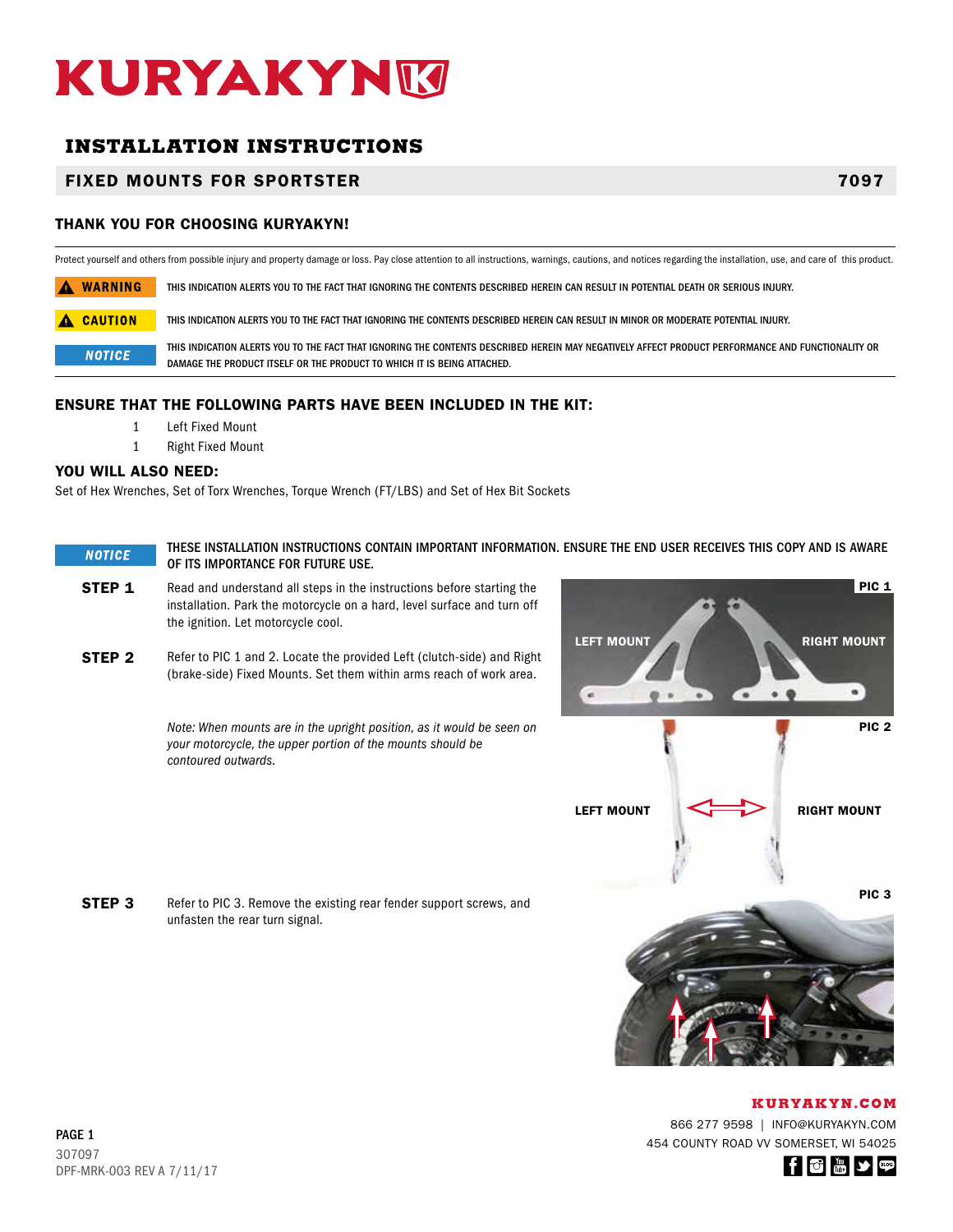# KURYAKYNM

# **INSTALLATION INSTRUCTIONS**

## FIXED MOUNTS FOR SPORTSTER 7097

### THANK YOU FOR CHOOSING KURYAKYN!

Protect yourself and others from possible injury and property damage or loss. Pay close attention to all instructions, warnings, cautions, and notices regarding the installation, use, and care of this product.

A WARNING THIS INDICATION ALERTS YOU TO THE FACT THAT IGNORING THE CONTENTS DESCRIBED HEREIN CAN RESULT IN POTENTIAL DEATH OR SERIOUS INJURY.

A CAUTION THIS INDICATION ALERTS YOU TO THE FACT THAT IGNORING THE CONTENTS DESCRIBED HEREIN CAN RESULT IN MINOR OR MODERATE POTENTIAL INJURY.

THIS INDICATION ALERTS YOU TO THE FACT THAT IGNORING THE CONTENTS DESCRIBED HEREIN MAY NEGATIVELY AFFECT PRODUCT PERFORMANCE AND FUNCTIONALITY OR **NOTICE** DAMAGE THE PRODUCT ITSELF OR THE PRODUCT TO WHICH IT IS BEING ATTACHED.

#### ENSURE THAT THE FOLLOWING PARTS HAVE BEEN INCLUDED IN THE KIT:

- 1 Left Fixed Mount
- 1 Right Fixed Mount

#### YOU WILL ALSO NEED:

Set of Hex Wrenches, Set of Torx Wrenches, Torque Wrench (FT/LBS) and Set of Hex Bit Sockets

#### THESE INSTALLATION INSTRUCTIONS CONTAIN IMPORTANT INFORMATION. ENSURE THE END USER RECEIVES THIS COPY AND IS AWARE **NOTICE** OF ITS IMPORTANCE FOR FUTURE USE.

- **STEP 1** Read and understand all steps in the instructions before starting the installation. Park the motorcycle on a hard, level surface and turn off the ignition. Let motorcycle cool.
- **STEP 2** Refer to PIC 1 and 2. Locate the provided Left (clutch-side) and Right (brake-side) Fixed Mounts. Set them within arms reach of work area.

*Note: When mounts are in the upright position, as it would be seen on your motorcycle, the upper portion of the mounts should be contoured outwards.*

**STEP 3** Refer to PIC 3. Remove the existing rear fender support screws, and unfasten the rear turn signal.



 $\bullet$ 

۰.

LEFT MOUNT

×

866 277 9598 | INFO@KURYAKYN.COM 454 COUNTY ROAD VV SOMERSET, WI 54025



PIC<sub>1</sub>

RIGHT MOUNT

 $\bullet$ 

PIC 2

PIC 3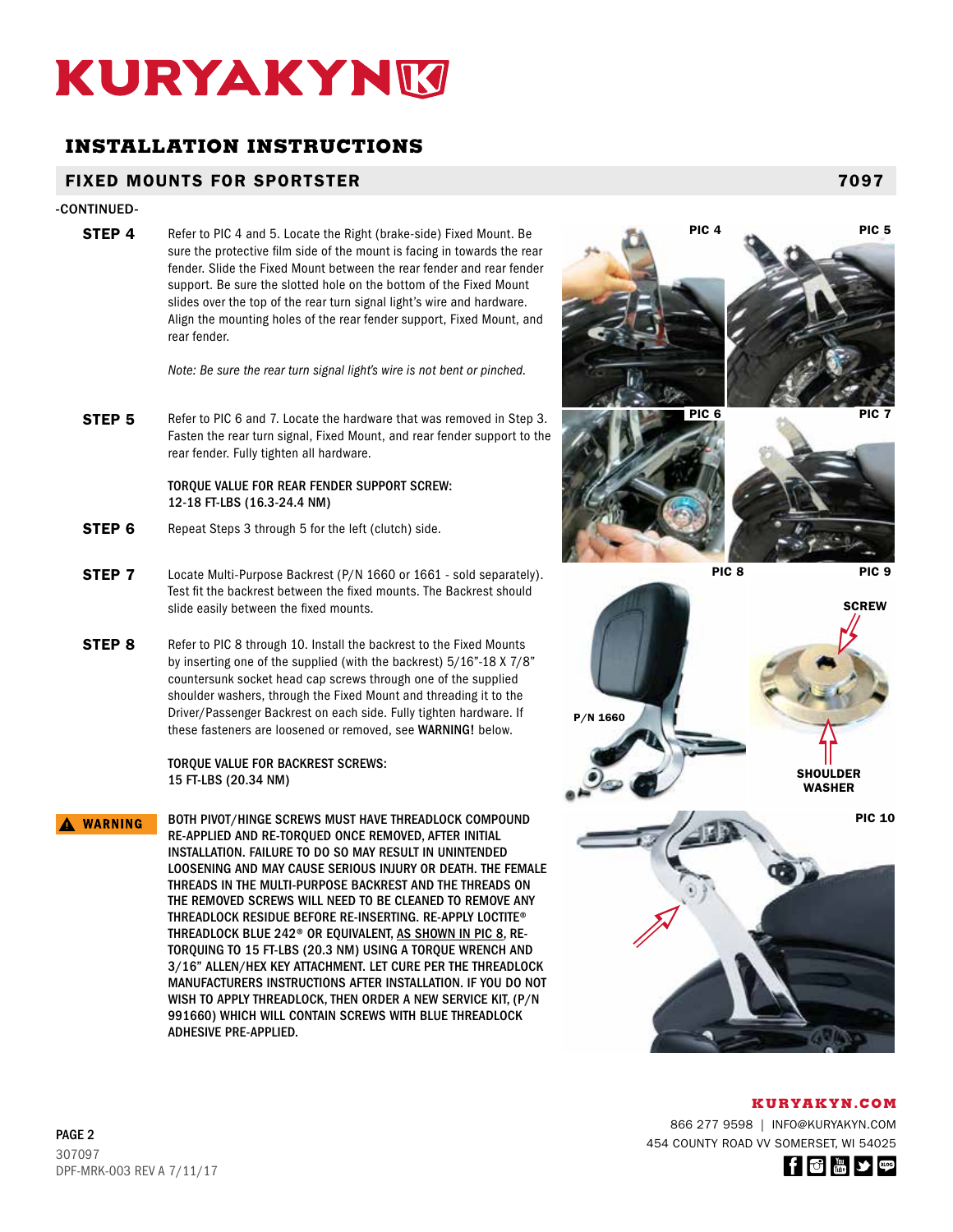# KURYAKYNM

# **INSTALLATION INSTRUCTIONS**

## FIXED MOUNTS FOR SPORTSTER 7097

#### -CONTINUED-

**STEP 4** Refer to PIC 4 and 5. Locate the Right (brake-side) Fixed Mount. Be sure the protective film side of the mount is facing in towards the rear fender. Slide the Fixed Mount between the rear fender and rear fender support. Be sure the slotted hole on the bottom of the Fixed Mount slides over the top of the rear turn signal light's wire and hardware. Align the mounting holes of the rear fender support, Fixed Mount, and rear fender.

*Note: Be sure the rear turn signal light's wire is not bent or pinched.*

**STEP 5** Refer to PIC 6 and 7. Locate the hardware that was removed in Step 3. Fasten the rear turn signal, Fixed Mount, and rear fender support to the rear fender. Fully tighten all hardware.

#### TORQUE VALUE FOR REAR FENDER SUPPORT SCREW: 12-18 FT-LBS (16.3-24.4 NM)

- **STEP 6** Repeat Steps 3 through 5 for the left (clutch) side.
- **STEP 7** Locate Multi-Purpose Backrest (P/N 1660 or 1661 sold separately). Test fit the backrest between the fixed mounts. The Backrest should slide easily between the fixed mounts.
- **STEP 8** Refer to PIC 8 through 10. Install the backrest to the Fixed Mounts by inserting one of the supplied (with the backrest) 5/16"-18 X 7/8" countersunk socket head cap screws through one of the supplied shoulder washers, through the Fixed Mount and threading it to the Driver/Passenger Backrest on each side. Fully tighten hardware. If these fasteners are loosened or removed, see WARNING! below.

TORQUE VALUE FOR BACKREST SCREWS: 15 FT-LBS (20.34 NM)

BOTH PIVOT/HINGE SCREWS MUST HAVE THREADLOCK COMPOUND A WARNING RE-APPLIED AND RE-TORQUED ONCE REMOVED, AFTER INITIAL INSTALLATION. FAILURE TO DO SO MAY RESULT IN UNINTENDED LOOSENING AND MAY CAUSE SERIOUS INJURY OR DEATH. THE FEMALE THREADS IN THE MULTI-PURPOSE BACKREST AND THE THREADS ON THE REMOVED SCREWS WILL NEED TO BE CLEANED TO REMOVE ANY THREADLOCK RESIDUE BEFORE RE-INSERTING. RE-APPLY LOCTITE® THREADLOCK BLUE 242® OR EQUIVALENT, AS SHOWN IN PIC 8, RE-TORQUING TO 15 FT-LBS (20.3 NM) USING A TORQUE WRENCH AND 3/16" ALLEN/HEX KEY ATTACHMENT. LET CURE PER THE THREADLOCK MANUFACTURERS INSTRUCTIONS AFTER INSTALLATION. IF YOU DO NOT WISH TO APPLY THREADLOCK, THEN ORDER A NEW SERVICE KIT, (P/N 991660) WHICH WILL CONTAIN SCREWS WITH BLUE THREADLOCK ADHESIVE PRE-APPLIED.



**KURYAKYN.COM**

866 277 9598 | INFO@KURYAKYN.COM 454 COUNTY ROAD VV SOMERSET, WI 54025